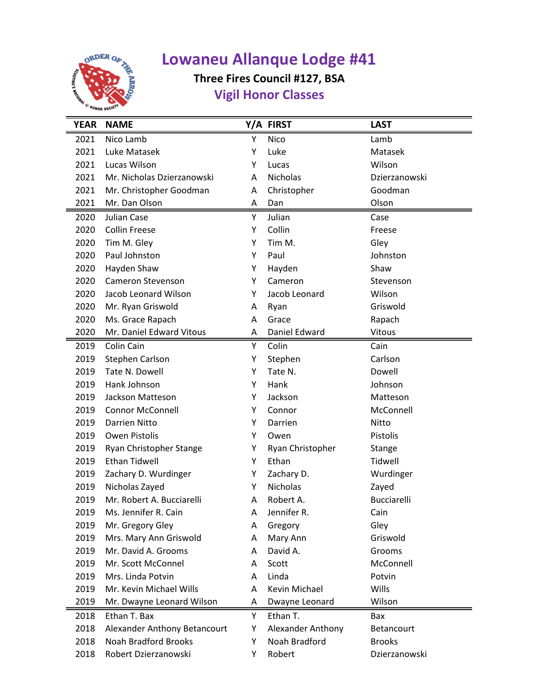

## **Lowaneu Allanque Lodge #41**

## **Three Fires Council #127, BSA Vigil Honor Classes**

| <b>YEAR</b> | <b>NAME</b>                  |   | Y/A FIRST         | <b>LAST</b>   |
|-------------|------------------------------|---|-------------------|---------------|
| 2021        | Nico Lamb                    | Υ | Nico              | Lamb          |
| 2021        | Luke Matasek                 | Υ | Luke              | Matasek       |
| 2021        | Lucas Wilson                 | Υ | Lucas             | Wilson        |
| 2021        | Mr. Nicholas Dzierzanowski   | A | Nicholas          | Dzierzanowski |
| 2021        | Mr. Christopher Goodman      | A | Christopher       | Goodman       |
| 2021        | Mr. Dan Olson                | A | Dan               | Olson         |
| 2020        | Julian Case                  | Y | Julian            | Case          |
| 2020        | <b>Collin Freese</b>         | Υ | Collin            | Freese        |
| 2020        | Tim M. Gley                  | Υ | Tim M.            | Gley          |
| 2020        | Paul Johnston                | Υ | Paul              | Johnston      |
| 2020        | Hayden Shaw                  | Υ | Hayden            | Shaw          |
| 2020        | Cameron Stevenson            | Y | Cameron           | Stevenson     |
| 2020        | Jacob Leonard Wilson         | Y | Jacob Leonard     | Wilson        |
| 2020        | Mr. Ryan Griswold            | Α | Ryan              | Griswold      |
| 2020        | Ms. Grace Rapach             | A | Grace             | Rapach        |
| 2020        | Mr. Daniel Edward Vitous     | A | Daniel Edward     | Vitous        |
| 2019        | Colin Cain                   | Y | Colin             | Cain          |
| 2019        | Stephen Carlson              | Υ | Stephen           | Carlson       |
| 2019        | Tate N. Dowell               | Υ | Tate N.           | Dowell        |
| 2019        | Hank Johnson                 | Υ | Hank              | Johnson       |
| 2019        | Jackson Matteson             | Υ | Jackson           | Matteson      |
| 2019        | <b>Connor McConnell</b>      | Y | Connor            | McConnell     |
| 2019        | <b>Darrien Nitto</b>         | Υ | Darrien           | Nitto         |
| 2019        | Owen Pistolis                | Υ | Owen              | Pistolis      |
| 2019        | Ryan Christopher Stange      | Υ | Ryan Christopher  | Stange        |
| 2019        | <b>Ethan Tidwell</b>         | Y | Ethan             | Tidwell       |
| 2019        | Zachary D. Wurdinger         | Υ | Zachary D.        | Wurdinger     |
| 2019        | Nicholas Zayed               | Υ | Nicholas          | Zayed         |
| 2019        | Mr. Robert A. Bucciarelli    | A | Robert A.         | Bucciarelli   |
| 2019        | Ms. Jennifer R. Cain         | A | Jennifer R.       | Cain          |
| 2019        | Mr. Gregory Gley             | Α | Gregory           | Gley          |
| 2019        | Mrs. Mary Ann Griswold       | A | Mary Ann          | Griswold      |
| 2019        | Mr. David A. Grooms          | A | David A.          | Grooms        |
| 2019        | Mr. Scott McConnel           | Α | Scott             | McConnell     |
| 2019        | Mrs. Linda Potvin            | A | Linda             | Potvin        |
| 2019        | Mr. Kevin Michael Wills      | A | Kevin Michael     | Wills         |
| 2019        | Mr. Dwayne Leonard Wilson    | Α | Dwayne Leonard    | Wilson        |
| 2018        | Ethan T. Bax                 | Υ | Ethan T.          | Bax           |
| 2018        | Alexander Anthony Betancourt | Υ | Alexander Anthony | Betancourt    |
| 2018        | <b>Noah Bradford Brooks</b>  | Υ | Noah Bradford     | <b>Brooks</b> |
| 2018        | Robert Dzierzanowski         | Υ | Robert            | Dzierzanowski |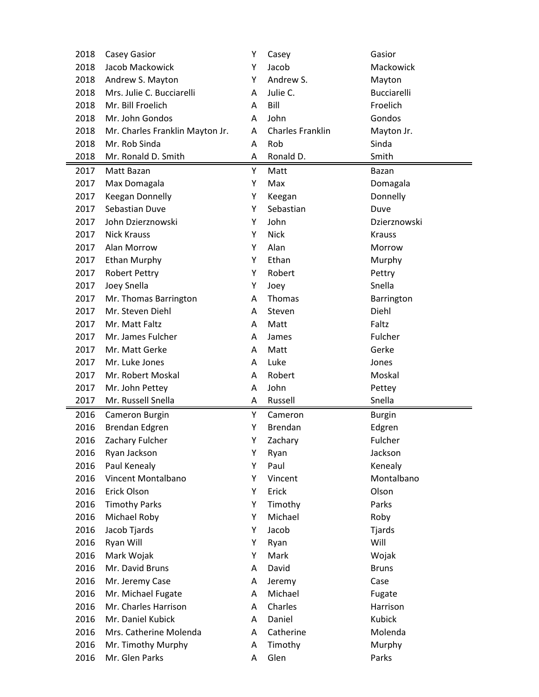| 2018 | Casey Gasior                    | Y | Casey                   | Gasior             |
|------|---------------------------------|---|-------------------------|--------------------|
| 2018 | Jacob Mackowick                 | Υ | Jacob                   | Mackowick          |
| 2018 | Andrew S. Mayton                | Υ | Andrew S.               | Mayton             |
| 2018 | Mrs. Julie C. Bucciarelli       | A | Julie C.                | <b>Bucciarelli</b> |
| 2018 | Mr. Bill Froelich               | A | Bill                    | Froelich           |
| 2018 | Mr. John Gondos                 | А | John                    | Gondos             |
| 2018 | Mr. Charles Franklin Mayton Jr. | A | <b>Charles Franklin</b> | Mayton Jr.         |
| 2018 | Mr. Rob Sinda                   | A | Rob                     | Sinda              |
| 2018 | Mr. Ronald D. Smith             | Α | Ronald D.               | Smith              |
| 2017 | Matt Bazan                      | Υ | Matt                    | Bazan              |
| 2017 | Max Domagala                    | Υ | Max                     | Domagala           |
| 2017 | Keegan Donnelly                 | Y | Keegan                  | Donnelly           |
| 2017 | Sebastian Duve                  | Υ | Sebastian               | Duve               |
| 2017 | John Dzierznowski               | Υ | John                    | Dzierznowski       |
| 2017 | <b>Nick Krauss</b>              | Y | <b>Nick</b>             | <b>Krauss</b>      |
| 2017 | Alan Morrow                     | Y | Alan                    | Morrow             |
| 2017 | <b>Ethan Murphy</b>             | Υ | Ethan                   | Murphy             |
| 2017 | <b>Robert Pettry</b>            | Υ | Robert                  | Pettry             |
| 2017 | Joey Snella                     | Υ | Joey                    | Snella             |
| 2017 | Mr. Thomas Barrington           | A | Thomas                  | Barrington         |
| 2017 | Mr. Steven Diehl                | A | Steven                  | Diehl              |
| 2017 | Mr. Matt Faltz                  | A | Matt                    | Faltz              |
| 2017 | Mr. James Fulcher               | Α | James                   | Fulcher            |
| 2017 | Mr. Matt Gerke                  | A | Matt                    | Gerke              |
| 2017 | Mr. Luke Jones                  | A | Luke                    | Jones              |
| 2017 | Mr. Robert Moskal               | А | Robert                  | Moskal             |
| 2017 | Mr. John Pettey                 | Α | John                    | Pettey             |
| 2017 | Mr. Russell Snella              | Α | Russell                 | Snella             |
| 2016 | Cameron Burgin                  | Υ | Cameron                 | <b>Burgin</b>      |
| 2016 | Brendan Edgren                  | Υ | <b>Brendan</b>          | Edgren             |
| 2016 | Zachary Fulcher                 | Υ | Zachary                 | Fulcher            |
| 2016 | Ryan Jackson                    | Υ | Ryan                    | Jackson            |
| 2016 | Paul Kenealy                    | Υ | Paul                    | Kenealy            |
| 2016 | Vincent Montalbano              | Υ | Vincent                 | Montalbano         |
| 2016 | Erick Olson                     | Υ | Erick                   | Olson              |
| 2016 | <b>Timothy Parks</b>            | Υ | Timothy                 | Parks              |
| 2016 | Michael Roby                    | Υ | Michael                 | Roby               |
| 2016 | Jacob Tjards                    | Υ | Jacob                   | Tjards             |
| 2016 | Ryan Will                       | Υ | Ryan                    | Will               |
| 2016 | Mark Wojak                      | Υ | Mark                    | Wojak              |
| 2016 | Mr. David Bruns                 | Α | David                   | <b>Bruns</b>       |
| 2016 | Mr. Jeremy Case                 | А | Jeremy                  | Case               |
| 2016 | Mr. Michael Fugate              | Α | Michael                 | Fugate             |
| 2016 | Mr. Charles Harrison            | А | Charles                 | Harrison           |
| 2016 | Mr. Daniel Kubick               | А | Daniel                  | Kubick             |
| 2016 | Mrs. Catherine Molenda          | А | Catherine               | Molenda            |
| 2016 | Mr. Timothy Murphy              | Α | Timothy                 | Murphy             |
| 2016 | Mr. Glen Parks                  | Α | Glen                    | Parks              |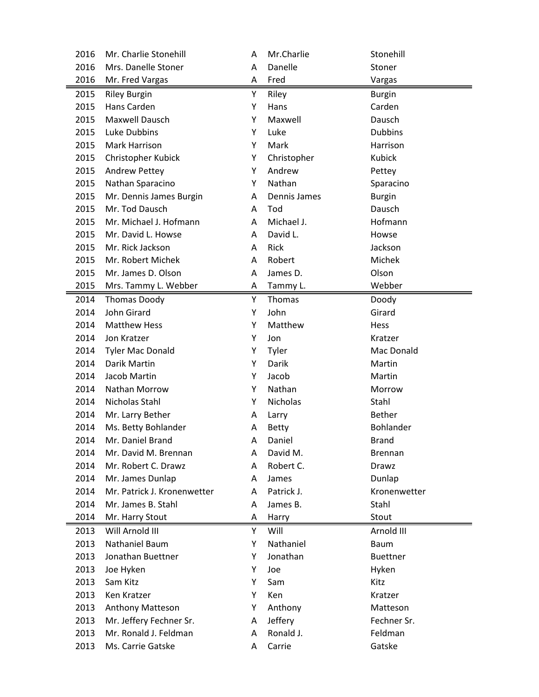| 2016 | Mr. Charlie Stonehill       | A | Mr.Charlie   | Stonehill       |
|------|-----------------------------|---|--------------|-----------------|
| 2016 | Mrs. Danelle Stoner         | A | Danelle      | Stoner          |
| 2016 | Mr. Fred Vargas             | Α | Fred         | Vargas          |
| 2015 | <b>Riley Burgin</b>         | Υ | Riley        | <b>Burgin</b>   |
| 2015 | Hans Carden                 | Υ | Hans         | Carden          |
| 2015 | Maxwell Dausch              | Υ | Maxwell      | Dausch          |
| 2015 | Luke Dubbins                | Y | Luke         | <b>Dubbins</b>  |
| 2015 | Mark Harrison               | Υ | Mark         | Harrison        |
| 2015 | Christopher Kubick          | Υ | Christopher  | Kubick          |
| 2015 | <b>Andrew Pettey</b>        | Y | Andrew       | Pettey          |
| 2015 | Nathan Sparacino            | Υ | Nathan       | Sparacino       |
| 2015 | Mr. Dennis James Burgin     | A | Dennis James | <b>Burgin</b>   |
| 2015 | Mr. Tod Dausch              | A | Tod          | Dausch          |
| 2015 | Mr. Michael J. Hofmann      | A | Michael J.   | Hofmann         |
| 2015 | Mr. David L. Howse          | A | David L.     | Howse           |
| 2015 | Mr. Rick Jackson            | A | Rick         | Jackson         |
| 2015 | Mr. Robert Michek           | A | Robert       | Michek          |
| 2015 | Mr. James D. Olson          | A | James D.     | Olson           |
| 2015 | Mrs. Tammy L. Webber        | A | Tammy L.     | Webber          |
| 2014 | <b>Thomas Doody</b>         | Υ | Thomas       | Doody           |
| 2014 | John Girard                 | Υ | John         | Girard          |
| 2014 | <b>Matthew Hess</b>         | Υ | Matthew      | Hess            |
| 2014 | Jon Kratzer                 | Υ | Jon          | Kratzer         |
| 2014 | <b>Tyler Mac Donald</b>     | Υ | Tyler        | Mac Donald      |
| 2014 | Darik Martin                | Y | Darik        | Martin          |
| 2014 | Jacob Martin                | Υ | Jacob        | Martin          |
| 2014 | Nathan Morrow               | Υ | Nathan       | Morrow          |
| 2014 | Nicholas Stahl              | Υ | Nicholas     | Stahl           |
| 2014 | Mr. Larry Bether            | Α | Larry        | <b>Bether</b>   |
| 2014 | Ms. Betty Bohlander         | Α | <b>Betty</b> | Bohlander       |
| 2014 | Mr. Daniel Brand            | A | Daniel       | <b>Brand</b>    |
| 2014 | Mr. David M. Brennan        | A | David M.     | <b>Brennan</b>  |
| 2014 | Mr. Robert C. Drawz         | A | Robert C.    | Drawz           |
| 2014 | Mr. James Dunlap            | Α | James        | Dunlap          |
| 2014 | Mr. Patrick J. Kronenwetter | Α | Patrick J.   | Kronenwetter    |
| 2014 | Mr. James B. Stahl          | Α | James B.     | Stahl           |
| 2014 | Mr. Harry Stout             | Α | Harry        | Stout           |
| 2013 | Will Arnold III             | Υ | Will         | Arnold III      |
| 2013 | Nathaniel Baum              | Υ | Nathaniel    | <b>Baum</b>     |
| 2013 | Jonathan Buettner           | Υ | Jonathan     | <b>Buettner</b> |
| 2013 | Joe Hyken                   | Υ | Joe          | Hyken           |
| 2013 | Sam Kitz                    | Υ | Sam          | Kitz            |
| 2013 | Ken Kratzer                 | Υ | Ken          | Kratzer         |
| 2013 | Anthony Matteson            | Υ | Anthony      | Matteson        |
| 2013 | Mr. Jeffery Fechner Sr.     | Α | Jeffery      | Fechner Sr.     |
| 2013 | Mr. Ronald J. Feldman       | Α | Ronald J.    | Feldman         |
| 2013 | Ms. Carrie Gatske           | Α | Carrie       | Gatske          |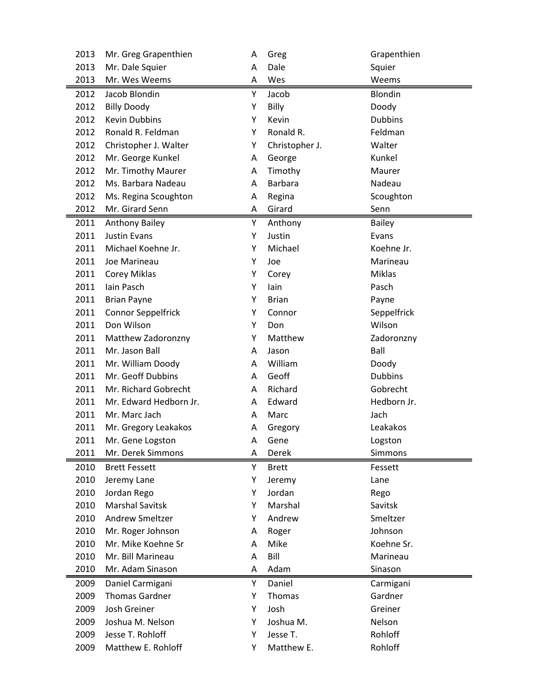| 2013 | Mr. Greg Grapenthien   | A | Greg           | Grapenthien    |
|------|------------------------|---|----------------|----------------|
| 2013 | Mr. Dale Squier        | A | Dale           | Squier         |
| 2013 | Mr. Wes Weems          | Α | Wes            | Weems          |
| 2012 | Jacob Blondin          | Υ | Jacob          | Blondin        |
| 2012 | <b>Billy Doody</b>     | Υ | Billy          | Doody          |
| 2012 | <b>Kevin Dubbins</b>   | Υ | Kevin          | <b>Dubbins</b> |
| 2012 | Ronald R. Feldman      | Υ | Ronald R.      | Feldman        |
| 2012 | Christopher J. Walter  | Υ | Christopher J. | Walter         |
| 2012 | Mr. George Kunkel      | A | George         | Kunkel         |
| 2012 | Mr. Timothy Maurer     | A | Timothy        | Maurer         |
| 2012 | Ms. Barbara Nadeau     | A | <b>Barbara</b> | Nadeau         |
| 2012 | Ms. Regina Scoughton   | A | Regina         | Scoughton      |
| 2012 | Mr. Girard Senn        | Α | Girard         | Senn           |
| 2011 | <b>Anthony Bailey</b>  | Y | Anthony        | <b>Bailey</b>  |
| 2011 | <b>Justin Evans</b>    | Υ | Justin         | Evans          |
| 2011 | Michael Koehne Jr.     | Υ | Michael        | Koehne Jr.     |
| 2011 | Joe Marineau           | Υ | Joe            | Marineau       |
| 2011 | Corey Miklas           | Υ | Corey          | <b>Miklas</b>  |
| 2011 | Iain Pasch             | Υ | lain           | Pasch          |
| 2011 | <b>Brian Payne</b>     | Υ | <b>Brian</b>   | Payne          |
| 2011 | Connor Seppelfrick     | Υ | Connor         | Seppelfrick    |
| 2011 | Don Wilson             | Υ | Don            | Wilson         |
| 2011 | Matthew Zadoronzny     | Υ | Matthew        | Zadoronzny     |
| 2011 | Mr. Jason Ball         | A | Jason          | Ball           |
| 2011 | Mr. William Doody      | A | William        | Doody          |
| 2011 | Mr. Geoff Dubbins      | A | Geoff          | <b>Dubbins</b> |
| 2011 | Mr. Richard Gobrecht   | Α | Richard        | Gobrecht       |
| 2011 | Mr. Edward Hedborn Jr. | A | Edward         | Hedborn Jr.    |
| 2011 | Mr. Marc Jach          | A | Marc           | Jach           |
| 2011 | Mr. Gregory Leakakos   | Α | Gregory        | Leakakos       |
| 2011 | Mr. Gene Logston       | A | Gene           | Logston        |
| 2011 | Mr. Derek Simmons      | A | Derek          | Simmons        |
| 2010 | <b>Brett Fessett</b>   | Υ | <b>Brett</b>   | Fessett        |
| 2010 | Jeremy Lane            | Υ | Jeremy         | Lane           |
| 2010 | Jordan Rego            | Υ | Jordan         | Rego           |
| 2010 | <b>Marshal Savitsk</b> | Υ | Marshal        | Savitsk        |
| 2010 | Andrew Smeltzer        | Υ | Andrew         | Smeltzer       |
| 2010 | Mr. Roger Johnson      | Α | Roger          | Johnson        |
| 2010 | Mr. Mike Koehne Sr     | A | Mike           | Koehne Sr.     |
| 2010 | Mr. Bill Marineau      | Α | Bill           | Marineau       |
| 2010 | Mr. Adam Sinason       | Α | Adam           | Sinason        |
| 2009 | Daniel Carmigani       | Υ | Daniel         | Carmigani      |
| 2009 | <b>Thomas Gardner</b>  | Υ | Thomas         | Gardner        |
| 2009 | Josh Greiner           | Υ | Josh           | Greiner        |
| 2009 | Joshua M. Nelson       | Υ | Joshua M.      | Nelson         |
| 2009 | Jesse T. Rohloff       | Υ | Jesse T.       | Rohloff        |
| 2009 | Matthew E. Rohloff     | Υ | Matthew E.     | Rohloff        |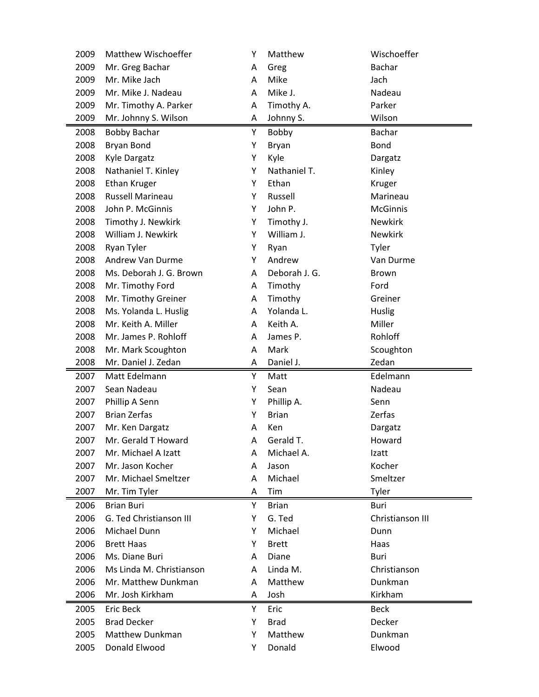| 2009 | Matthew Wischoeffer              | Y | Matthew       | Wischoeffer       |  |
|------|----------------------------------|---|---------------|-------------------|--|
| 2009 | Mr. Greg Bachar                  | A | Greg          | Bachar            |  |
| 2009 | Mr. Mike Jach                    | A | Mike          | Jach              |  |
| 2009 | Mr. Mike J. Nadeau               | Α | Mike J.       | Nadeau            |  |
| 2009 | Mr. Timothy A. Parker            | Α | Timothy A.    | Parker            |  |
| 2009 | Mr. Johnny S. Wilson             | А | Johnny S.     | Wilson            |  |
| 2008 | <b>Bobby Bachar</b>              | Υ | Bobby         | <b>Bachar</b>     |  |
| 2008 | Bryan Bond                       | Υ | Bryan         | <b>Bond</b>       |  |
| 2008 | Kyle Dargatz                     | Υ | Kyle          | Dargatz           |  |
| 2008 | Nathaniel T. Kinley              | Υ | Nathaniel T.  | Kinley            |  |
| 2008 | Ethan Kruger                     | Υ | Ethan         | Kruger            |  |
| 2008 | Russell Marineau                 | Υ | Russell       | Marineau          |  |
| 2008 | John P. McGinnis                 | Υ | John P.       | <b>McGinnis</b>   |  |
| 2008 | Timothy J. Newkirk               | Υ | Timothy J.    | <b>Newkirk</b>    |  |
| 2008 | William J. Newkirk               | Υ | William J.    | <b>Newkirk</b>    |  |
| 2008 | Ryan Tyler                       | Υ | Ryan          | Tyler             |  |
| 2008 | Andrew Van Durme                 | Υ | Andrew        | Van Durme         |  |
| 2008 | Ms. Deborah J. G. Brown          | A | Deborah J. G. | Brown             |  |
| 2008 | Mr. Timothy Ford                 | Α | Timothy       | Ford              |  |
| 2008 | Mr. Timothy Greiner              | Α | Timothy       | Greiner           |  |
| 2008 | Ms. Yolanda L. Huslig            | A | Yolanda L.    | Huslig            |  |
| 2008 | Mr. Keith A. Miller              | Α | Keith A.      | Miller            |  |
| 2008 | Mr. James P. Rohloff             | Α | James P.      | Rohloff           |  |
| 2008 | Mr. Mark Scoughton               | Α | Mark          | Scoughton         |  |
| 2008 | Mr. Daniel J. Zedan              | Α | Daniel J.     | Zedan             |  |
|      |                                  |   |               |                   |  |
| 2007 | Matt Edelmann                    | Υ | Matt          | Edelmann          |  |
| 2007 | Sean Nadeau                      | Υ | Sean          | Nadeau            |  |
| 2007 | Phillip A Senn                   | Υ | Phillip A.    | Senn              |  |
| 2007 | <b>Brian Zerfas</b>              | Υ | <b>Brian</b>  | Zerfas            |  |
| 2007 | Mr. Ken Dargatz                  | Α | Ken           | Dargatz           |  |
| 2007 | Mr. Gerald T Howard              | A | Gerald T.     | Howard            |  |
| 2007 | Mr. Michael A Izatt              | A | Michael A.    | Izatt             |  |
| 2007 | Mr. Jason Kocher                 | A | Jason         | Kocher            |  |
| 2007 | Mr. Michael Smeltzer             | A | Michael       | Smeltzer          |  |
| 2007 | Mr. Tim Tyler                    | Α | Tim           | Tyler             |  |
| 2006 | <b>Brian Buri</b>                | Υ | <b>Brian</b>  | Buri              |  |
| 2006 | G. Ted Christianson III          | Υ | G. Ted        | Christianson III  |  |
| 2006 | Michael Dunn                     | Υ | Michael       | Dunn              |  |
| 2006 | <b>Brett Haas</b>                | Υ | <b>Brett</b>  | Haas              |  |
| 2006 | Ms. Diane Buri                   | A | Diane         | Buri              |  |
| 2006 | Ms Linda M. Christianson         | Α | Linda M.      | Christianson      |  |
| 2006 | Mr. Matthew Dunkman              | Α | Matthew       | Dunkman           |  |
| 2006 | Mr. Josh Kirkham                 | А | Josh          | Kirkham           |  |
| 2005 | Eric Beck                        | Υ | Eric          | <b>Beck</b>       |  |
| 2005 | <b>Brad Decker</b>               | Υ | <b>Brad</b>   | Decker            |  |
| 2005 | Matthew Dunkman<br>Donald Elwood | Υ | Matthew       | Dunkman<br>Elwood |  |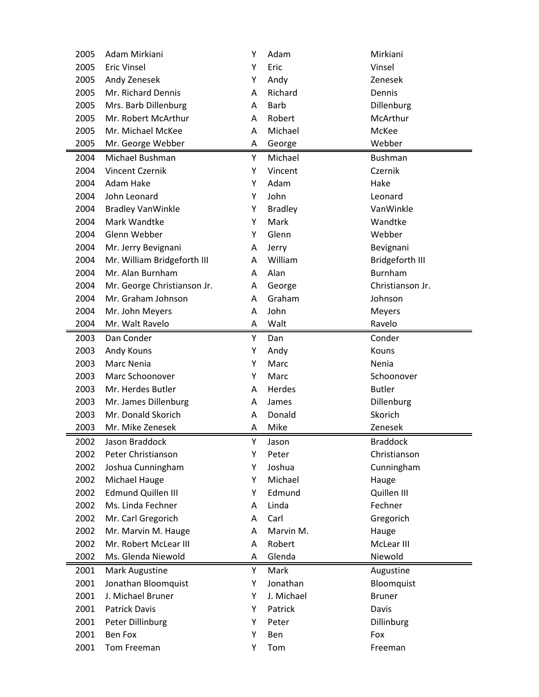| 2005 | Adam Mirkiani               | Y | Adam           | Mirkiani         |
|------|-----------------------------|---|----------------|------------------|
| 2005 | <b>Eric Vinsel</b>          | Y | Eric           | Vinsel           |
| 2005 | Andy Zenesek                | Υ | Andy           | Zenesek          |
| 2005 | Mr. Richard Dennis          | A | Richard        | Dennis           |
| 2005 | Mrs. Barb Dillenburg        | A | <b>Barb</b>    | Dillenburg       |
| 2005 | Mr. Robert McArthur         | A | Robert         | McArthur         |
| 2005 | Mr. Michael McKee           | A | Michael        | McKee            |
| 2005 | Mr. George Webber           | Α | George         | Webber           |
| 2004 | Michael Bushman             | Y | Michael        | <b>Bushman</b>   |
| 2004 | <b>Vincent Czernik</b>      | Υ | Vincent        | Czernik          |
| 2004 | Adam Hake                   | Υ | Adam           | Hake             |
| 2004 | John Leonard                | Υ | John           | Leonard          |
| 2004 | <b>Bradley VanWinkle</b>    | Y | <b>Bradley</b> | VanWinkle        |
| 2004 | Mark Wandtke                | Υ | Mark           | Wandtke          |
| 2004 | Glenn Webber                | Y | Glenn          | Webber           |
| 2004 | Mr. Jerry Bevignani         | Α | Jerry          | Bevignani        |
| 2004 | Mr. William Bridgeforth III | A | William        | Bridgeforth III  |
| 2004 | Mr. Alan Burnham            | A | Alan           | <b>Burnham</b>   |
| 2004 | Mr. George Christianson Jr. | Α | George         | Christianson Jr. |
| 2004 | Mr. Graham Johnson          | A | Graham         | Johnson          |
| 2004 | Mr. John Meyers             | A | John           | <b>Meyers</b>    |
| 2004 | Mr. Walt Ravelo             | Α | Walt           | Ravelo           |
| 2003 | Dan Conder                  | Υ | Dan            | Conder           |
| 2003 | Andy Kouns                  | Υ | Andy           | Kouns            |
| 2003 | Marc Nenia                  | Υ | Marc           | Nenia            |
| 2003 | Marc Schoonover             | Y | Marc           | Schoonover       |
| 2003 | Mr. Herdes Butler           | A | Herdes         | <b>Butler</b>    |
| 2003 | Mr. James Dillenburg        | A | James          | Dillenburg       |
| 2003 | Mr. Donald Skorich          | A | Donald         | Skorich          |
| 2003 | Mr. Mike Zenesek            |   |                |                  |
| 2002 |                             | Α | Mike           | Zenesek          |
|      | Jason Braddock              | Υ | Jason          | <b>Braddock</b>  |
| 2002 | Peter Christianson          | Υ | Peter          | Christianson     |
| 2002 | Joshua Cunningham           | Υ | Joshua         | Cunningham       |
| 2002 | Michael Hauge               | Y | Michael        | Hauge            |
| 2002 | <b>Edmund Quillen III</b>   | Υ | Edmund         | Quillen III      |
| 2002 | Ms. Linda Fechner           | Α | Linda          | Fechner          |
| 2002 | Mr. Carl Gregorich          | Α | Carl           | Gregorich        |
| 2002 | Mr. Marvin M. Hauge         | Α | Marvin M.      | Hauge            |
| 2002 | Mr. Robert McLear III       | A | Robert         | McLear III       |
| 2002 | Ms. Glenda Niewold          | Α | Glenda         | Niewold          |
| 2001 | Mark Augustine              | Y | Mark           | Augustine        |
| 2001 | Jonathan Bloomquist         | Υ | Jonathan       | Bloomquist       |
| 2001 | J. Michael Bruner           | Y | J. Michael     | <b>Bruner</b>    |
| 2001 | <b>Patrick Davis</b>        | Υ | Patrick        | Davis            |
| 2001 | Peter Dillinburg            | Υ | Peter          | Dillinburg       |
| 2001 | Ben Fox                     | Y | Ben            | Fox              |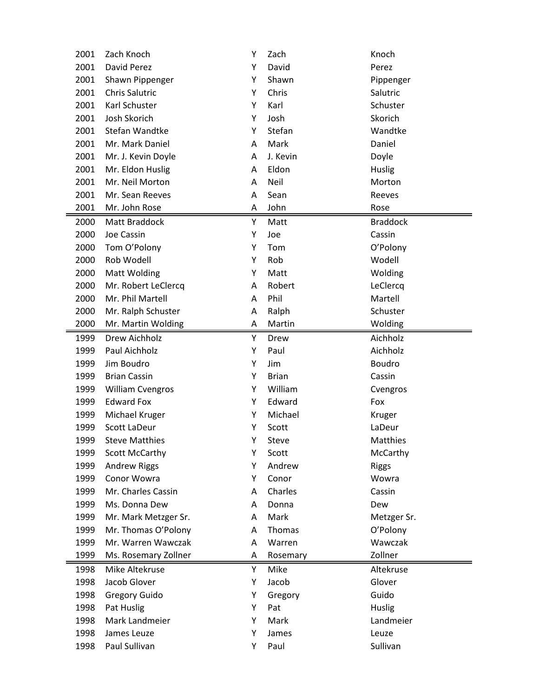| 2001 | Zach Knoch              | Υ | Zach         | Knoch           |
|------|-------------------------|---|--------------|-----------------|
| 2001 | David Perez             | Υ | David        | Perez           |
| 2001 | Shawn Pippenger         | Υ | Shawn        | Pippenger       |
| 2001 | <b>Chris Salutric</b>   | Υ | Chris        | Salutric        |
| 2001 | Karl Schuster           | Υ | Karl         | Schuster        |
| 2001 | Josh Skorich            | Υ | Josh         | Skorich         |
| 2001 | Stefan Wandtke          | Υ | Stefan       | Wandtke         |
| 2001 | Mr. Mark Daniel         | A | Mark         | Daniel          |
| 2001 | Mr. J. Kevin Doyle      | Α | J. Kevin     | Doyle           |
| 2001 | Mr. Eldon Huslig        | A | Eldon        | Huslig          |
| 2001 | Mr. Neil Morton         | A | Neil         | Morton          |
| 2001 | Mr. Sean Reeves         | Α | Sean         | Reeves          |
| 2001 | Mr. John Rose           | Α | John         | Rose            |
| 2000 | Matt Braddock           | Υ | Matt         | <b>Braddock</b> |
| 2000 | Joe Cassin              | Υ | Joe          | Cassin          |
| 2000 | Tom O'Polony            | Υ | Tom          | O'Polony        |
| 2000 | Rob Wodell              | Υ | Rob          | Wodell          |
| 2000 | <b>Matt Wolding</b>     | Υ | Matt         | Wolding         |
| 2000 | Mr. Robert LeClercq     | Α | Robert       | LeClercq        |
| 2000 | Mr. Phil Martell        | A | Phil         | Martell         |
| 2000 | Mr. Ralph Schuster      | Α | Ralph        | Schuster        |
| 2000 | Mr. Martin Wolding      | A | Martin       | Wolding         |
| 1999 | Drew Aichholz           | Υ | Drew         | Aichholz        |
| 1999 | Paul Aichholz           | Υ | Paul         | Aichholz        |
| 1999 | Jim Boudro              | Υ | Jim          | <b>Boudro</b>   |
| 1999 | <b>Brian Cassin</b>     | Υ | <b>Brian</b> | Cassin          |
| 1999 | <b>William Cvengros</b> | Υ | William      | Cvengros        |
| 1999 | <b>Edward Fox</b>       | Υ | Edward       | Fox             |
| 1999 | Michael Kruger          | Υ | Michael      | Kruger          |
| 1999 | Scott LaDeur            | Υ | Scott        | LaDeur          |
| 1999 | <b>Steve Matthies</b>   | Υ | Steve        | Matthies        |
| 1999 | Scott McCarthy          | Υ | Scott        | McCarthy        |
| 1999 | <b>Andrew Riggs</b>     | Υ | Andrew       | <b>Riggs</b>    |
| 1999 | Conor Wowra             | Υ | Conor        | Wowra           |
| 1999 | Mr. Charles Cassin      | Α | Charles      | Cassin          |
| 1999 | Ms. Donna Dew           | Α | Donna        | Dew             |
| 1999 | Mr. Mark Metzger Sr.    | Α | Mark         | Metzger Sr.     |
| 1999 | Mr. Thomas O'Polony     | Α | Thomas       | O'Polony        |
| 1999 | Mr. Warren Wawczak      | Α | Warren       | Wawczak         |
| 1999 | Ms. Rosemary Zollner    | Α | Rosemary     | Zollner         |
| 1998 | Mike Altekruse          | Υ | Mike         | Altekruse       |
| 1998 | Jacob Glover            | Υ | Jacob        | Glover          |
| 1998 | <b>Gregory Guido</b>    | Υ | Gregory      | Guido           |
| 1998 | Pat Huslig              | Υ | Pat          | Huslig          |
| 1998 | Mark Landmeier          | Υ | Mark         | Landmeier       |
| 1998 | James Leuze             | Υ | James        | Leuze           |
| 1998 | Paul Sullivan           | Υ | Paul         | Sullivan        |